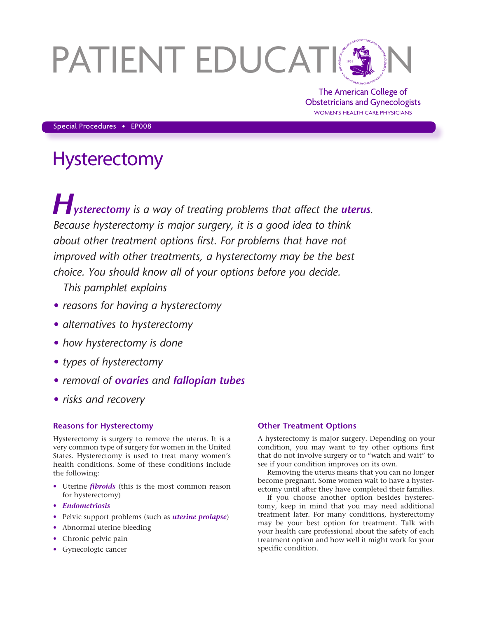# PATIENT EDUCATIN

The American College of Obstetricians and Gynecologists WOMEN'S HEALTH CARE PHYSICIANS

Special Procedures • EP008

# **Hysterectomy**

**Hysterectomy** is a way of treating problems that affect the *uterus*. *Because hysterectomy is major surgery, it is a good idea to think about other treatment options first. For problems that have not improved with other treatments, a hysterectomy may be the best choice. You should know all of your options before you decide.* 

*This pamphlet explains*

- *• reasons for having a hysterectomy*
- *• alternatives to hysterectomy*
- *• how hysterectomy is done*
- *• types of hysterectomy*
- *• removal of ovaries and fallopian tubes*
- *• risks and recovery*

## **Reasons for Hysterectomy**

Hysterectomy is surgery to remove the uterus. It is a very common type of surgery for women in the United States. Hysterectomy is used to treat many women's health conditions. Some of these conditions include the following:

- Uterine *fibroids* (this is the most common reason for hysterectomy)
- *Endometriosis*
- Pelvic support problems (such as *uterine prolapse*)
- Abnormal uterine bleeding
- Chronic pelvic pain
- Gynecologic cancer

### **Other Treatment Options**

A hysterectomy is major surgery. Depending on your condition, you may want to try other options first that do not involve surgery or to "watch and wait" to see if your condition improves on its own.

Removing the uterus means that you can no longer become pregnant. Some women wait to have a hysterectomy until after they have completed their families.

If you choose another option besides hysterectomy, keep in mind that you may need additional treatment later. For many conditions, hysterectomy may be your best option for treatment. Talk with your health care professional about the safety of each treatment option and how well it might work for your specific condition.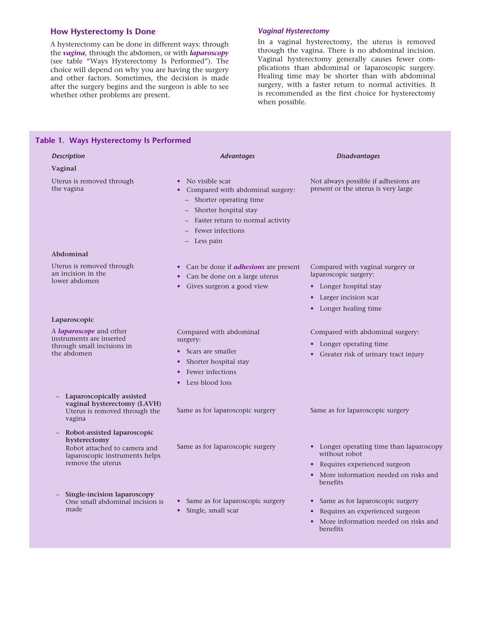# **How Hysterectomy Is Done**

**Table 1. Ways Hysterectomy Is Performed**

A hysterectomy can be done in different ways: through the *vagina*, through the abdomen, or with *laparoscopy* (see table "Ways Hysterectomy Is Performed"). The choice will depend on why you are having the surgery and other factors. Sometimes, the decision is made after the surgery begins and the surgeon is able to see whether other problems are present.

#### *Vaginal Hysterectomy*

In a vaginal hysterectomy, the uterus is removed through the vagina. There is no abdominal incision. Vaginal hysterectomy generally causes fewer complications than abdominal or laparoscopic surgery. Healing time may be shorter than with abdominal surgery, with a faster return to normal activities. It is recommended as the first choice for hysterectomy when possible.

| <b>Description</b>                                                                                      | <b>Advantages</b>                                                                                                                                                                     | <b>Disadvantages</b>                                                         |
|---------------------------------------------------------------------------------------------------------|---------------------------------------------------------------------------------------------------------------------------------------------------------------------------------------|------------------------------------------------------------------------------|
| Vaginal                                                                                                 |                                                                                                                                                                                       |                                                                              |
| Uterus is removed through<br>the vagina                                                                 | • No visible scar<br>Compared with abdominal surgery:<br>- Shorter operating time<br>- Shorter hospital stay<br>- Faster return to normal activity<br>Fewer infections<br>- Less pain | Not always possible if adhesions are.<br>present or the uterus is very large |
| Abdominal                                                                                               |                                                                                                                                                                                       |                                                                              |
| Uterus is removed through<br>an incision in the<br>lower abdomen                                        | • Can be done if <i>adhesions</i> are present<br>• Can be done on a large uterus<br>Gives surgeon a good view<br>$\bullet$                                                            | Compared with vaginal surgery or<br>laparoscopic surgery:                    |
|                                                                                                         |                                                                                                                                                                                       | • Longer hospital stay                                                       |
|                                                                                                         |                                                                                                                                                                                       | • Larger incision scar                                                       |
|                                                                                                         |                                                                                                                                                                                       | • Longer healing time                                                        |
| Laparoscopic                                                                                            |                                                                                                                                                                                       |                                                                              |
| A <i>laparoscope</i> and other<br>instruments are inserted<br>through small incisions in<br>the abdomen | Compared with abdominal<br>surgery:                                                                                                                                                   | Compared with abdominal surgery:<br>• Longer operating time                  |
|                                                                                                         | Scars are smaller                                                                                                                                                                     | • Greater risk of urinary tract injury                                       |
|                                                                                                         | Shorter hospital stay<br>$\bullet$                                                                                                                                                    |                                                                              |
|                                                                                                         | Fewer infections                                                                                                                                                                      |                                                                              |
|                                                                                                         | Less blood loss                                                                                                                                                                       |                                                                              |
| Laparoscopically assisted<br>vaginal hysterectomy (LAVH)<br>Uterus is removed through the<br>vagina     | Same as for laparoscopic surgery                                                                                                                                                      | Same as for laparoscopic surgery                                             |
| Robot-assisted laparoscopic<br>hysterectomy                                                             |                                                                                                                                                                                       |                                                                              |
| Robot attached to camera and<br>laparoscopic instruments helps<br>remove the uterus                     | Same as for laparoscopic surgery                                                                                                                                                      | • Longer operating time than laparoscopy<br>without robot                    |
|                                                                                                         |                                                                                                                                                                                       | • Requires experienced surgeon                                               |
|                                                                                                         |                                                                                                                                                                                       | More information needed on risks and<br>benefits                             |
| Single-incision laparoscopy<br>One small abdominal incision is<br>made                                  | • Same as for laparoscopic surgery<br>Single, small scar<br>$\bullet$                                                                                                                 | • Same as for laparoscopic surgery                                           |
|                                                                                                         |                                                                                                                                                                                       | Requires an experienced surgeon                                              |
|                                                                                                         |                                                                                                                                                                                       | More information needed on risks and<br>$\bullet$<br>benefits                |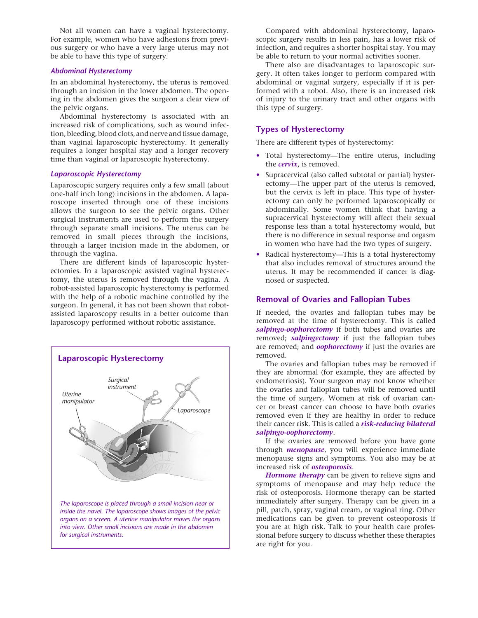Not all women can have a vaginal hysterectomy. For example, women who have adhesions from previous surgery or who have a very large uterus may not be able to have this type of surgery.

#### *Abdominal Hysterectomy*

In an abdominal hysterectomy, the uterus is removed through an incision in the lower abdomen. The opening in the abdomen gives the surgeon a clear view of the pelvic organs.

Abdominal hysterectomy is associated with an increased risk of complications, such as wound infection, bleeding, blood clots, and nerve and tissue damage, than vaginal laparoscopic hysterectomy. It generally requires a longer hospital stay and a longer recovery time than vaginal or laparoscopic hysterectomy.

#### *Laparoscopic Hysterectomy*

Laparoscopic surgery requires only a few small (about one-half inch long) incisions in the abdomen. A laparoscope inserted through one of these incisions allows the surgeon to see the pelvic organs. Other surgical instruments are used to perform the surgery through separate small incisions. The uterus can be removed in small pieces through the incisions, through a larger incision made in the abdomen, or through the vagina.

There are different kinds of laparoscopic hysterectomies. In a laparoscopic assisted vaginal hysterectomy, the uterus is removed through the vagina. A robot-assisted laparoscopic hysterectomy is performed with the help of a robotic machine controlled by the surgeon. In general, it has not been shown that robotassisted laparoscopy results in a better outcome than laparoscopy performed without robotic assistance.



Compared with abdominal hysterectomy, laparoscopic surgery results in less pain, has a lower risk of infection, and requires a shorter hospital stay. You may be able to return to your normal activities sooner.

There also are disadvantages to laparoscopic surgery. It often takes longer to perform compared with abdominal or vaginal surgery, especially if it is performed with a robot. Also, there is an increased risk of injury to the urinary tract and other organs with this type of surgery.

#### **Types of Hysterectomy**

There are different types of hysterectomy:

- Total hysterectomy—The entire uterus, including the *cervix*, is removed.
- Supracervical (also called subtotal or partial) hysterectomy—The upper part of the uterus is removed, but the cervix is left in place. This type of hysterectomy can only be performed laparoscopically or abdominally. Some women think that having a supracervical hysterectomy will affect their sexual response less than a total hysterectomy would, but there is no difference in sexual response and orgasm in women who have had the two types of surgery.
- Radical hysterectomy-This is a total hysterectomy that also includes removal of structures around the uterus. It may be recommended if cancer is diagnosed or suspected.

#### **Removal of Ovaries and Fallopian Tubes**

If needed, the ovaries and fallopian tubes may be removed at the time of hysterectomy. This is called *salpingo-oophorectomy* if both tubes and ovaries are removed; *salpingectomy* if just the fallopian tubes are removed; and *oophorectomy* if just the ovaries are removed.

The ovaries and fallopian tubes may be removed if they are abnormal (for example, they are affected by endometriosis). Your surgeon may not know whether the ovaries and fallopian tubes will be removed until the time of surgery. Women at risk of ovarian cancer or breast cancer can choose to have both ovaries removed even if they are healthy in order to reduce their cancer risk. This is called a *risk-reducing bilateral salpingo-oophorectomy*.

If the ovaries are removed before you have gone through *menopause*, you will experience immediate menopause signs and symptoms. You also may be at increased risk of *osteoporosis*.

*Hormone therapy* can be given to relieve signs and symptoms of menopause and may help reduce the risk of osteoporosis. Hormone therapy can be started immediately after surgery. Therapy can be given in a pill, patch, spray, vaginal cream, or vaginal ring. Other medications can be given to prevent osteoporosis if you are at high risk. Talk to your health care professional before surgery to discuss whether these therapies are right for you.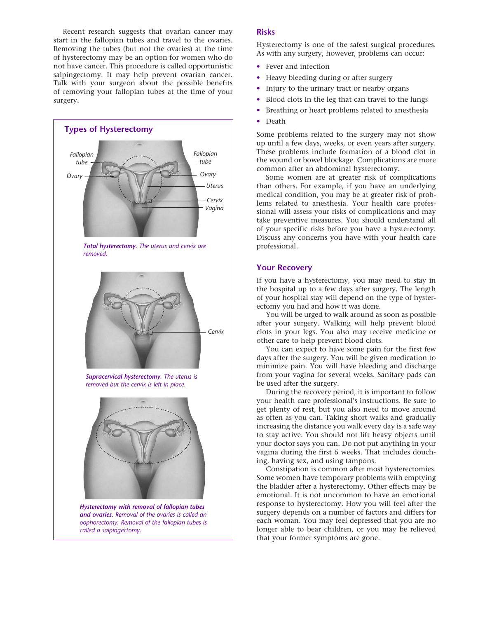Recent research suggests that ovarian cancer may start in the fallopian tubes and travel to the ovaries. Removing the tubes (but not the ovaries) at the time of hysterectomy may be an option for women who do not have cancer. This procedure is called opportunistic salpingectomy. It may help prevent ovarian cancer. Talk with your surgeon about the possible benefits of removing your fallopian tubes at the time of your surgery.



#### **Risks**

Hysterectomy is one of the safest surgical procedures. As with any surgery, however, problems can occur:

- Fever and infection
- Heavy bleeding during or after surgery
- Injury to the urinary tract or nearby organs
- Blood clots in the leg that can travel to the lungs
- Breathing or heart problems related to anesthesia
- Death

Some problems related to the surgery may not show up until a few days, weeks, or even years after surgery. These problems include formation of a blood clot in the wound or bowel blockage. Complications are more common after an abdominal hysterectomy.

Some women are at greater risk of complications than others. For example, if you have an underlying medical condition, you may be at greater risk of problems related to anesthesia. Your health care professional will assess your risks of complications and may take preventive measures. You should understand all of your specific risks before you have a hysterectomy. Discuss any concerns you have with your health care professional.

#### **Your Recovery**

If you have a hysterectomy, you may need to stay in the hospital up to a few days after surgery. The length of your hospital stay will depend on the type of hysterectomy you had and how it was done.

You will be urged to walk around as soon as possible after your surgery. Walking will help prevent blood clots in your legs. You also may receive medicine or other care to help prevent blood clots.

You can expect to have some pain for the first few days after the surgery. You will be given medication to minimize pain. You will have bleeding and discharge from your vagina for several weeks. Sanitary pads can be used after the surgery.

During the recovery period, it is important to follow your health care professional's instructions. Be sure to get plenty of rest, but you also need to move around as often as you can. Taking short walks and gradually increasing the distance you walk every day is a safe way to stay active. You should not lift heavy objects until your doctor says you can. Do not put anything in your vagina during the first 6 weeks. That includes douching, having sex, and using tampons.

Constipation is common after most hysterectomies. Some women have temporary problems with emptying the bladder after a hysterectomy. Other effects may be emotional. It is not uncommon to have an emotional response to hysterectomy. How you will feel after the surgery depends on a number of factors and differs for each woman. You may feel depressed that you are no longer able to bear children, or you may be relieved that your former symptoms are gone.